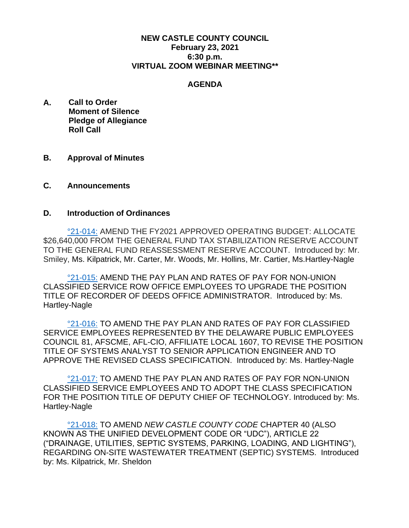## **NEW CASTLE COUNTY COUNCIL February 23, 2021 6:30 p.m. VIRTUAL ZOOM WEBINAR MEETING\*\***

#### **AGENDA**

- **A. Call to Order Moment of Silence Pledge of Allegiance Roll Call**
- **B. Approval of Minutes**
- **C. Announcements**

## **D. Introduction of Ordinances**

[°21-014:](https://www.nccde.org/DocumentCenter/View/41684/21-014) AMEND THE FY2021 APPROVED OPERATING BUDGET: ALLOCATE \$26,640,000 FROM THE GENERAL FUND TAX STABILIZATION RESERVE ACCOUNT TO THE GENERAL FUND REASSESSMENT RESERVE ACCOUNT. Introduced by: Mr. Smiley, Ms. Kilpatrick, Mr. Carter, Mr. Woods, Mr. Hollins, Mr. Cartier, Ms.Hartley-Nagle

[°21-015:](https://www.nccde.org/DocumentCenter/View/41685/21-015) AMEND THE PAY PLAN AND RATES OF PAY FOR NON-UNION CLASSIFIED SERVICE ROW OFFICE EMPLOYEES TO UPGRADE THE POSITION TITLE OF RECORDER OF DEEDS OFFICE ADMINISTRATOR. Introduced by: Ms. Hartley-Nagle

[°21-016:](https://www.nccde.org/DocumentCenter/View/41686/21-016) TO AMEND THE PAY PLAN AND RATES OF PAY FOR CLASSIFIED SERVICE EMPLOYEES REPRESENTED BY THE DELAWARE PUBLIC EMPLOYEES COUNCIL 81, AFSCME, AFL-CIO, AFFILIATE LOCAL 1607, TO REVISE THE POSITION TITLE OF SYSTEMS ANALYST TO SENIOR APPLICATION ENGINEER AND TO APPROVE THE REVISED CLASS SPECIFICATION. Introduced by: Ms. Hartley-Nagle

[°21-017:](https://www.nccde.org/DocumentCenter/View/41687/21-017) TO AMEND THE PAY PLAN AND RATES OF PAY FOR NON-UNION CLASSIFIED SERVICE EMPLOYEES AND TO ADOPT THE CLASS SPECIFICATION FOR THE POSITION TITLE OF DEPUTY CHIEF OF TECHNOLOGY. Introduced by: Ms. Hartley-Nagle

[°21-018:](https://www.nccde.org/DocumentCenter/View/41688/21-018) TO AMEND *NEW CASTLE COUNTY CODE* CHAPTER 40 (ALSO KNOWN AS THE UNIFIED DEVELOPMENT CODE OR "UDC"), ARTICLE 22 ("DRAINAGE, UTILITIES, SEPTIC SYSTEMS, PARKING, LOADING, AND LIGHTING"), REGARDING ON-SITE WASTEWATER TREATMENT (SEPTIC) SYSTEMS. Introduced by: Ms. Kilpatrick, Mr. Sheldon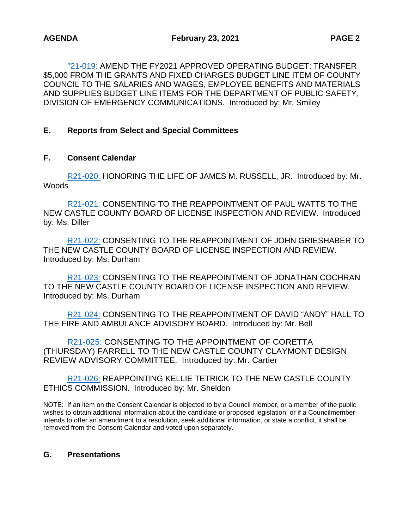[°21-019:](https://www.nccde.org/DocumentCenter/View/41689/21-019) AMEND THE FY2021 APPROVED OPERATING BUDGET: TRANSFER \$5,000 FROM THE GRANTS AND FIXED CHARGES BUDGET LINE ITEM OF COUNTY COUNCIL TO THE SALARIES AND WAGES, EMPLOYEE BENEFITS AND MATERIALS AND SUPPLIES BUDGET LINE ITEMS FOR THE DEPARTMENT OF PUBLIC SAFETY, DIVISION OF EMERGENCY COMMUNICATIONS. Introduced by: Mr. Smiley

# **E. Reports from Select and Special Committees**

## **F. Consent Calendar**

[R21-020:](https://www.nccde.org/DocumentCenter/View/41690/R21-020) HONORING THE LIFE OF JAMES M. RUSSELL, JR. Introduced by: Mr. Woods

[R21-021:](https://www.nccde.org/DocumentCenter/View/41691/R21-021) CONSENTING TO THE REAPPOINTMENT OF PAUL WATTS TO THE NEW CASTLE COUNTY BOARD OF LICENSE INSPECTION AND REVIEW. Introduced by: Ms. Diller

[R21-022:](https://www.nccde.org/DocumentCenter/View/41692/R21-022) CONSENTING TO THE REAPPOINTMENT OF JOHN GRIESHABER TO THE NEW CASTLE COUNTY BOARD OF LICENSE INSPECTION AND REVIEW. Introduced by: Ms. Durham

[R21-023:](https://www.nccde.org/DocumentCenter/View/41693/R21-023) CONSENTING TO THE REAPPOINTMENT OF JONATHAN COCHRAN TO THE NEW CASTLE COUNTY BOARD OF LICENSE INSPECTION AND REVIEW. Introduced by: Ms. Durham

[R21-024:](https://www.nccde.org/DocumentCenter/View/41694/R21-024) CONSENTING TO THE REAPPOINTMENT OF DAVID "ANDY" HALL TO THE FIRE AND AMBULANCE ADVISORY BOARD. Introduced by: Mr. Bell

[R21-025:](https://www.nccde.org/DocumentCenter/View/41695/R21-025) CONSENTING TO THE APPOINTMENT OF CORETTA (THURSDAY) FARRELL TO THE NEW CASTLE COUNTY CLAYMONT DESIGN REVIEW ADVISORY COMMITTEE. Introduced by: Mr. Cartier

[R21-026:](https://www.nccde.org/DocumentCenter/View/41696/R21-026) REAPPOINTING KELLIE TETRICK TO THE NEW CASTLE COUNTY ETHICS COMMISSION. Introduced by: Mr. Sheldon

NOTE: If an item on the Consent Calendar is objected to by a Council member, or a member of the public wishes to obtain additional information about the candidate or proposed legislation, or if a Councilmember intends to offer an amendment to a resolution, seek additional information, or state a conflict, it shall be removed from the Consent Calendar and voted upon separately.

### **G. Presentations**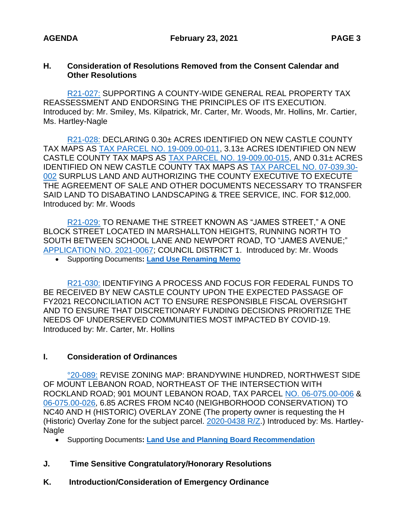## **H. Consideration of Resolutions Removed from the Consent Calendar and Other Resolutions**

[R21-027:](https://www.nccde.org/DocumentCenter/View/41697/R21-027) SUPPORTING A COUNTY-WIDE GENERAL REAL PROPERTY TAX REASSESSMENT AND ENDORSING THE PRINCIPLES OF ITS EXECUTION. Introduced by: Mr. Smiley, Ms. Kilpatrick, Mr. Carter, Mr. Woods, Mr. Hollins, Mr. Cartier, Ms. Hartley-Nagle

[R21-028:](https://www.nccde.org/DocumentCenter/View/41698/R21-028) DECLARING 0.30± ACRES IDENTIFIED ON NEW CASTLE COUNTY TAX MAPS AS [TAX PARCEL NO. 19-009.00-011,](http://www3.nccde.org/parcel/Details/Default.aspx?ParcelKey=147242) 3.13± ACRES IDENTIFIED ON NEW CASTLE COUNTY TAX MAPS AS [TAX PARCEL NO. 19-009.00-015,](http://www3.nccde.org/parcel/Details/Default.aspx?ParcelKey=147246) AND 0.31± ACRES IDENTIFIED ON NEW CASTLE COUNTY TAX MAPS AS [TAX PARCEL NO. 07-039.30-](http://www3.nccde.org/parcel/Details/Default.aspx?ParcelKey=36011) [002](http://www3.nccde.org/parcel/Details/Default.aspx?ParcelKey=36011) SURPLUS LAND AND AUTHORIZING THE COUNTY EXECUTIVE TO EXECUTE THE AGREEMENT OF SALE AND OTHER DOCUMENTS NECESSARY TO TRANSFER SAID LAND TO DISABATINO LANDSCAPING & TREE SERVICE, INC. FOR \$12,000. Introduced by: Mr. Woods

[R21-029:](https://www.nccde.org/DocumentCenter/View/41699/R21-029) TO RENAME THE STREET KNOWN AS "JAMES STREET," A ONE BLOCK STREET LOCATED IN MARSHALLTON HEIGHTS, RUNNING NORTH TO SOUTH BETWEEN SCHOOL LANE AND NEWPORT ROAD, TO "JAMES AVENUE;" [APPLICATION NO. 2021-0067;](http://www3.nccde.org/project/details/default.aspx?ProjectKey=699519) COUNCIL DISTRICT 1. Introduced by: Mr. Woods

• Supporting Documents**: [Land Use Renaming Memo](https://www.nccde.org/DocumentCenter/View/41561/LUmmoJames-Street-Renaming)**

[R21-030:](https://www.nccde.org/DocumentCenter/View/41700/R21-030) IDENTIFYING A PROCESS AND FOCUS FOR FEDERAL FUNDS TO BE RECEIVED BY NEW CASTLE COUNTY UPON THE EXPECTED PASSAGE OF FY2021 RECONCILIATION ACT TO ENSURE RESPONSIBLE FISCAL OVERSIGHT AND TO ENSURE THAT DISCRETIONARY FUNDING DECISIONS PRIORITIZE THE NEEDS OF UNDERSERVED COMMUNITIES MOST IMPACTED BY COVID-19. Introduced by: Mr. Carter, Mr. Hollins

## **I. Consideration of Ordinances**

[°20-089:](https://www.nccde.org/DocumentCenter/View/39330/20-089) REVISE ZONING MAP: BRANDYWINE HUNDRED, NORTHWEST SIDE OF MOUNT LEBANON ROAD, NORTHEAST OF THE INTERSECTION WITH ROCKLAND ROAD; 901 MOUNT LEBANON ROAD, TAX PARCEL [NO. 06-075.00-006](http://www3.nccde.org/parcel/Details/Default.aspx?ParcelKey=13382) & [06-075.00-026,](http://www3.nccde.org/parcel/Details/Default.aspx?ParcelKey=215790) 6.85 ACRES FROM NC40 (NEIGHBORHOOD CONSERVATION) TO NC40 AND H (HISTORIC) OVERLAY ZONE (The property owner is requesting the H (Historic) Overlay Zone for the subject parcel. [2020-0438 R/Z.](http://www3.nccde.org/project/details/default.aspx?ProjectKey=685241)) Introduced by: Ms. Hartley-**Nagle** 

- Supporting Documents**: [Land Use and Planning Board Recommendation](https://www.nccde.org/DocumentCenter/View/41559/20-089LUPBmmo)**
- **J. Time Sensitive Congratulatory/Honorary Resolutions**
- **K. Introduction/Consideration of Emergency Ordinance**